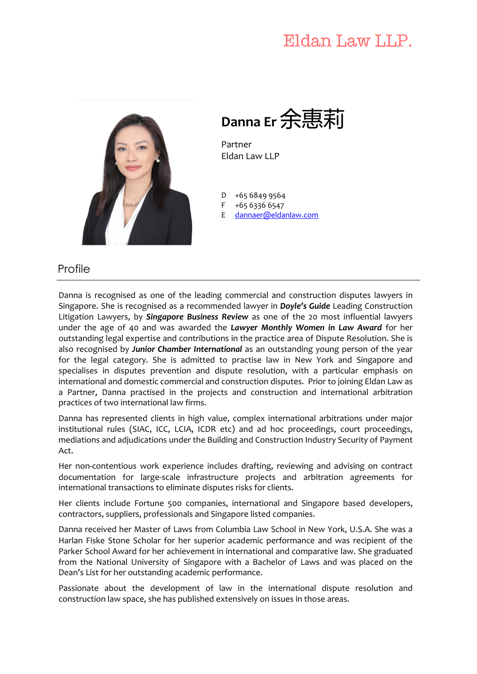# Eldan Law LLP.



**Danna Er**余惠莉

Partner Eldan Law LLP

 $\overline{D}$ +65 6849 9564

F +65 6336 6547

E dannaer@eldanlaw.com

#### Profile

Danna is recognised as one of the leading commercial and construction disputes lawyers in Singapore. She is recognised as a recommended lawyer in *Doyle's Guide* Leading Construction Litigation Lawyers, by *Singapore Business Review* as one of the 20 most influential lawyers under the age of 40 and was awarded the *Lawyer Monthly Women in Law Award* for her outstanding legal expertise and contributions in the practice area of Dispute Resolution. She is also recognised by *Junior Chamber International* as an outstanding young person of the year for the legal category. She is admitted to practise law in New York and Singapore and specialises in disputes prevention and dispute resolution, with a particular emphasis on international and domestic commercial and construction disputes. Prior to joining Eldan Law as a Partner, Danna practised in the projects and construction and international arbitration practices of two international law firms.

Danna has represented clients in high value, complex international arbitrations under major institutional rules (SIAC, ICC, LCIA, ICDR etc) and ad hoc proceedings, court proceedings, mediations and adjudications under the Building and Construction Industry Security of Payment Act.

Her non-contentious work experience includes drafting, reviewing and advising on contract documentation for large-scale infrastructure projects and arbitration agreements for international transactions to eliminate disputes risks for clients.

Her clients include Fortune 500 companies, international and Singapore based developers, contractors, suppliers, professionals and Singapore listed companies.

Danna received her Master of Laws from Columbia Law School in New York, U.S.A. She was a Harlan Fiske Stone Scholar for her superior academic performance and was recipient of the Parker School Award for her achievement in international and comparative law. She graduated from the National University of Singapore with a Bachelor of Laws and was placed on the Dean's List for her outstanding academic performance.

Passionate about the development of law in the international dispute resolution and construction law space, she has published extensively on issues in those areas.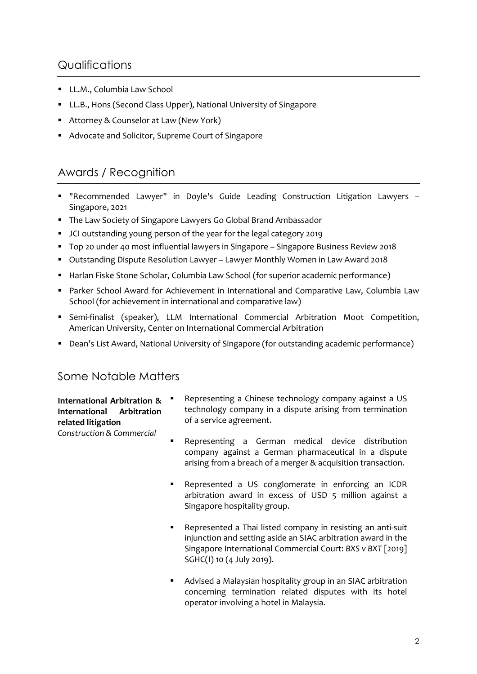### **Qualifications**

- § LL.M., Columbia Law School
- LL.B., Hons (Second Class Upper), National University of Singapore
- Attorney & Counselor at Law (New York)
- Advocate and Solicitor, Supreme Court of Singapore

# Awards / Recognition

- § "Recommended Lawyer" in Doyle's Guide Leading Construction Litigation Lawyers Singapore, 2021
- The Law Society of Singapore Lawyers Go Global Brand Ambassador
- § JCI outstanding young person of the year for the legal category 2019
- § Top 20 under 40 most influential lawyers in Singapore Singapore Business Review 2018
- § Outstanding Dispute Resolution Lawyer Lawyer Monthly Women in Law Award 2018
- Harlan Fiske Stone Scholar, Columbia Law School (for superior academic performance)
- Parker School Award for Achievement in International and Comparative Law, Columbia Law School (for achievement in international and comparative law)
- § Semi-finalist (speaker), LLM International Commercial Arbitration Moot Competition, American University, Center on International Commercial Arbitration
- Dean's List Award, National University of Singapore (for outstanding academic performance)

## Some Notable Matters

| International Arbitration &<br>International Arbitration<br>related litigation<br>Construction & Commercial |   | Representing a Chinese technology company against a US<br>technology company in a dispute arising from termination<br>of a service agreement.                                                                           |
|-------------------------------------------------------------------------------------------------------------|---|-------------------------------------------------------------------------------------------------------------------------------------------------------------------------------------------------------------------------|
|                                                                                                             | ٠ | Representing a German medical device distribution<br>company against a German pharmaceutical in a dispute<br>arising from a breach of a merger & acquisition transaction.                                               |
|                                                                                                             | ٠ | Represented a US conglomerate in enforcing an ICDR<br>arbitration award in excess of USD 5 million against a<br>Singapore hospitality group.                                                                            |
|                                                                                                             | ٠ | Represented a Thai listed company in resisting an anti-suit<br>injunction and setting aside an SIAC arbitration award in the<br>Singapore International Commercial Court: BXS v BXT [2019]<br>SGHC(I) 10 (4 July 2019). |
|                                                                                                             | ٠ | Advised a Malaysian hospitality group in an SIAC arbitration<br>concerning termination related disputes with its hotel<br>operator involving a hotel in Malaysia.                                                       |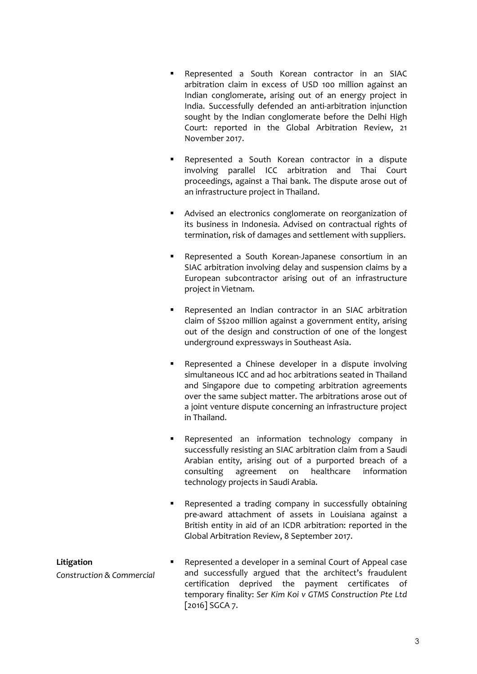- § Represented a South Korean contractor in an SIAC arbitration claim in excess of USD 100 million against an Indian conglomerate, arising out of an energy project in India. Successfully defended an anti-arbitration injunction sought by the Indian conglomerate before the Delhi High Court: reported in the Global Arbitration Review, 21 November 2017.
- Represented a South Korean contractor in a dispute involving parallel ICC arbitration and Thai Court proceedings, against a Thai bank. The dispute arose out of an infrastructure project in Thailand.
- Advised an electronics conglomerate on reorganization of its business in Indonesia. Advised on contractual rights of termination, risk of damages and settlement with suppliers.
- § Represented a South Korean-Japanese consortium in an SIAC arbitration involving delay and suspension claims by a European subcontractor arising out of an infrastructure project in Vietnam.
- Represented an Indian contractor in an SIAC arbitration claim of S\$200 million against a government entity, arising out of the design and construction of one of the longest underground expressways in Southeast Asia.
- § Represented a Chinese developer in a dispute involving simultaneous ICC and ad hoc arbitrations seated in Thailand and Singapore due to competing arbitration agreements over the same subject matter. The arbitrations arose out of a joint venture dispute concerning an infrastructure project in Thailand.
- Represented an information technology company in successfully resisting an SIAC arbitration claim from a Saudi Arabian entity, arising out of a purported breach of a consulting agreement on healthcare information technology projects in Saudi Arabia.
- Represented a trading company in successfully obtaining pre-award attachment of assets in Louisiana against a British entity in aid of an ICDR arbitration: reported in the Global Arbitration Review, 8 September 2017.

#### **Litigation**

*Construction & Commercial* 

Represented a developer in a seminal Court of Appeal case and successfully argued that the architect's fraudulent certification deprived the payment certificates of temporary finality: *Ser Kim Koi v GTMS Construction Pte Ltd* [2016] SGCA 7.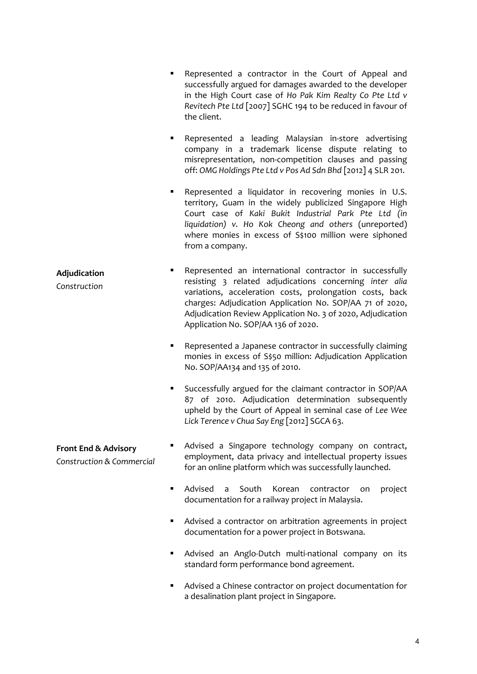| ٠                                                            | Represented a contractor in the Court of Appeal and<br>successfully argued for damages awarded to the developer<br>in the High Court case of Ho Pak Kim Realty Co Pte Ltd v<br>Revitech Pte Ltd [2007] SGHC 194 to be reduced in favour of<br>the client.                                                                                        |
|--------------------------------------------------------------|--------------------------------------------------------------------------------------------------------------------------------------------------------------------------------------------------------------------------------------------------------------------------------------------------------------------------------------------------|
| ٠                                                            | Represented a leading Malaysian in-store advertising<br>company in a trademark license dispute relating to<br>misrepresentation, non-competition clauses and passing<br>off: OMG Holdings Pte Ltd v Pos Ad Sdn Bhd [2012] 4 SLR 201.                                                                                                             |
|                                                              | Represented a liquidator in recovering monies in U.S.<br>territory, Guam in the widely publicized Singapore High<br>Court case of Kaki Bukit Industrial Park Pte Ltd (in<br>liquidation) v. Ho Kok Cheong and others (unreported)<br>where monies in excess of S\$100 million were siphoned<br>from a company.                                   |
| Adjudication<br>Construction                                 | Represented an international contractor in successfully<br>resisting 3 related adjudications concerning inter alia<br>variations, acceleration costs, prolongation costs, back<br>charges: Adjudication Application No. SOP/AA 71 of 2020,<br>Adjudication Review Application No. 3 of 2020, Adjudication<br>Application No. SOP/AA 136 of 2020. |
|                                                              | Represented a Japanese contractor in successfully claiming<br>monies in excess of S\$50 million: Adjudication Application<br>No. SOP/AA134 and 135 of 2010.                                                                                                                                                                                      |
|                                                              | Successfully argued for the claimant contractor in SOP/AA<br>87 of 2010. Adjudication determination subsequently<br>upheld by the Court of Appeal in seminal case of Lee Wee<br>Lick Terence v Chua Say Eng [2012] SGCA 63.                                                                                                                      |
| <b>Front End &amp; Advisory</b><br>Construction & Commercial | Advised a Singapore technology company on contract,<br>employment, data privacy and intellectual property issues<br>for an online platform which was successfully launched.                                                                                                                                                                      |
|                                                              | Advised<br>South<br>Korean<br>contractor<br>project<br>a<br>on<br>documentation for a railway project in Malaysia.                                                                                                                                                                                                                               |
|                                                              | Advised a contractor on arbitration agreements in project<br>documentation for a power project in Botswana.                                                                                                                                                                                                                                      |
|                                                              | Advised an Anglo-Dutch multi-national company on its<br>standard form performance bond agreement.                                                                                                                                                                                                                                                |

■ Advised a Chinese contractor on project documentation for a desalination plant project in Singapore.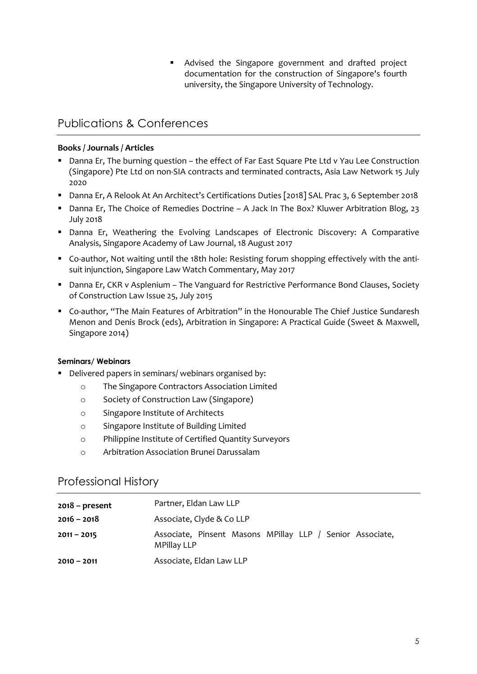■ Advised the Singapore government and drafted project documentation for the construction of Singapore's fourth university, the Singapore University of Technology.

## Publications & Conferences

#### **Books / Journals / Articles**

- Danna Er, The burning question the effect of Far East Square Pte Ltd v Yau Lee Construction (Singapore) Pte Ltd on non-SIA contracts and terminated contracts, Asia Law Network 15 July 2020
- Danna Er, A Relook At An Architect's Certifications Duties [2018] SAL Prac 3, 6 September 2018
- § Danna Er, The Choice of Remedies Doctrine A Jack In The Box? Kluwer Arbitration Blog, 23 July 2018
- § Danna Er, Weathering the Evolving Landscapes of Electronic Discovery: A Comparative Analysis, Singapore Academy of Law Journal, 18 August 2017
- Co-author, Not waiting until the 18th hole: Resisting forum shopping effectively with the antisuit injunction, Singapore Law Watch Commentary, May 2017
- Danna Er, CKR v Asplenium The Vanguard for Restrictive Performance Bond Clauses, Society of Construction Law Issue 25, July 2015
- § Co-author, "The Main Features of Arbitration" in the Honourable The Chief Justice Sundaresh Menon and Denis Brock (eds), Arbitration in Singapore: A Practical Guide (Sweet & Maxwell, Singapore 2014)

#### **Seminars/ Webinars**

- Delivered papers in seminars/ webinars organised by:
	- o The Singapore Contractors Association Limited
	- o Society of Construction Law (Singapore)
	- o Singapore Institute of Architects
	- o Singapore Institute of Building Limited
	- o Philippine Institute of Certified Quantity Surveyors
	- o Arbitration Association Brunei Darussalam

#### Professional History

| $2018$ – present | Partner, Eldan Law LLP                                                          |
|------------------|---------------------------------------------------------------------------------|
| $2016 - 2018$    | Associate, Clyde & Co LLP                                                       |
| $2011 - 2015$    | Associate, Pinsent Masons MPillay LLP / Senior Associate,<br><b>MPillay LLP</b> |
| $2010 - 2011$    | Associate, Eldan Law LLP                                                        |